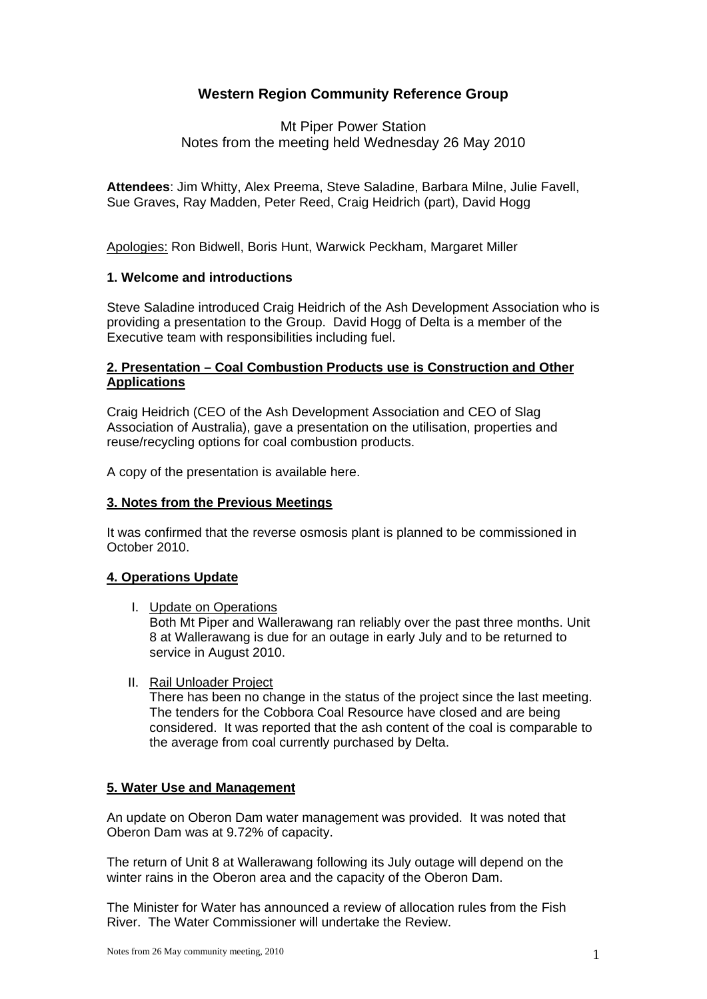# **Western Region Community Reference Group**

# Mt Piper Power Station Notes from the meeting held Wednesday 26 May 2010

**Attendees**: Jim Whitty, Alex Preema, Steve Saladine, Barbara Milne, Julie Favell, Sue Graves, Ray Madden, Peter Reed, Craig Heidrich (part), David Hogg

Apologies: Ron Bidwell, Boris Hunt, Warwick Peckham, Margaret Miller

## **1. Welcome and introductions**

Steve Saladine introduced Craig Heidrich of the Ash Development Association who is providing a presentation to the Group. David Hogg of Delta is a member of the Executive team with responsibilities including fuel.

# **2. Presentation – Coal Combustion Products use is Construction and Other Applications**

Craig Heidrich (CEO of the Ash Development Association and CEO of Slag Association of Australia), gave a presentation on the utilisation, properties and reuse/recycling options for coal combustion products.

A copy of the presentation is available here.

#### **3. Notes from the Previous Meetings**

It was confirmed that the reverse osmosis plant is planned to be commissioned in October 2010.

#### **4. Operations Update**

I. Update on Operations

 Both Mt Piper and Wallerawang ran reliably over the past three months. Unit 8 at Wallerawang is due for an outage in early July and to be returned to service in August 2010.

II. Rail Unloader Project

 There has been no change in the status of the project since the last meeting. The tenders for the Cobbora Coal Resource have closed and are being considered. It was reported that the ash content of the coal is comparable to the average from coal currently purchased by Delta.

#### **5. Water Use and Management**

An update on Oberon Dam water management was provided. It was noted that Oberon Dam was at 9.72% of capacity.

The return of Unit 8 at Wallerawang following its July outage will depend on the winter rains in the Oberon area and the capacity of the Oberon Dam.

The Minister for Water has announced a review of allocation rules from the Fish River. The Water Commissioner will undertake the Review.